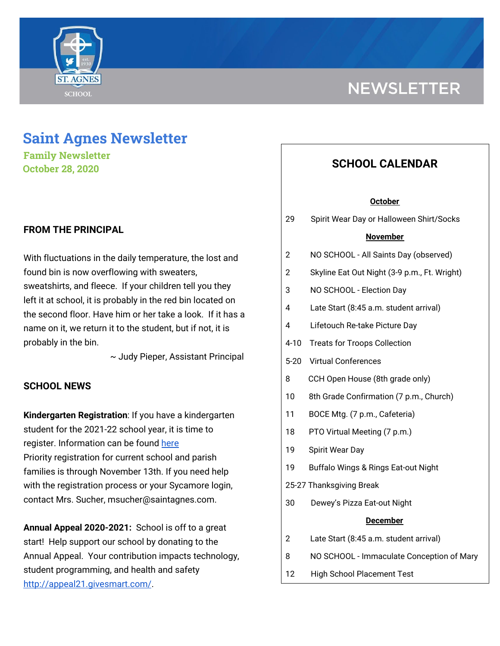

# **NEWSLETTER**

# **Saint Agnes Newsletter**

**Family Newsletter October 28, 2020**

# **FROM THE PRINCIPAL**

With fluctuations in the daily temperature, the lost and found bin is now overflowing with sweaters, sweatshirts, and fleece. If your children tell you they left it at school, it is probably in the red bin located on the second floor. Have him or her take a look. If it has a name on it, we return it to the student, but if not, it is probably in the bin.

~ Judy Pieper, Assistant Principal

# **SCHOOL NEWS**

**Kindergarten Registration**: If you have a kindergarten student for the 2021-22 school year, it is time to register. Information can be found [here](https://school.saintagnes.com/admission/) Priority registration for current school and parish families is through November 13th. If you need help with the registration process or your Sycamore login, contact Mrs. Sucher, msucher@saintagnes.com.

**Annual Appeal 2020-2021:** School is off to a great start! Help support our school by donating to the Annual Appeal. Your contribution impacts technology, student programming, and health and safety <http://appeal21.givesmart.com/>.

# **SCHOOL CALENDAR**

#### **October**

29 Spirit Wear Day or Halloween Shirt/Socks

#### **November**

- 2 NO SCHOOL All Saints Day (observed)
- 2 Skyline Eat Out Night (3-9 p.m., Ft. Wright)
- 3 NO SCHOOL Election Day
- 4 Late Start (8:45 a.m. student arrival)
- 4 Lifetouch Re-take Picture Day
- 4-10 Treats for Troops Collection
- 5-20 Virtual Conferences
- 8 CCH Open House (8th grade only)
- 10 8th Grade Confirmation (7 p.m., Church)
- 11 BOCE Mtg. (7 p.m., Cafeteria)
- 18 PTO Virtual Meeting (7 p.m.)
- 19 Spirit Wear Day
- 19 Buffalo Wings & Rings Eat-out Night
- 25-27 Thanksgiving Break
- 30 Dewey's Pizza Eat-out Night

#### **December**

- 2 Late Start (8:45 a.m. student arrival)
- 8 NO SCHOOL Immaculate Conception of Mary
- 12 High School Placement Test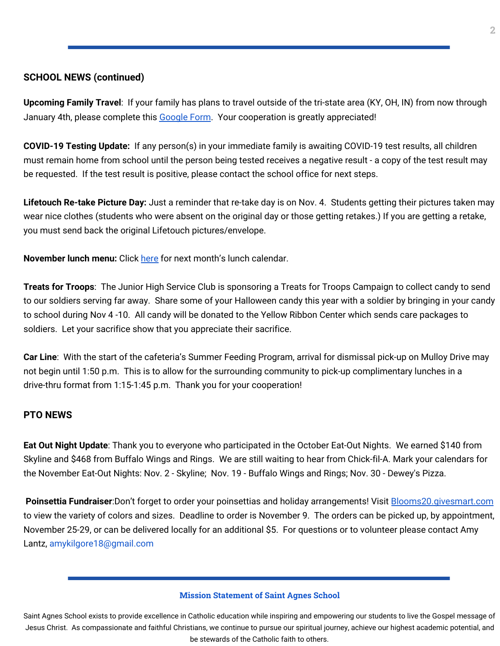# **SCHOOL NEWS (continued)**

**Upcoming Family Travel**: If your family has plans to travel outside of the tri-state area (KY, OH, IN) from now through January 4th, please complete this [Google](https://docs.google.com/forms/d/e/1FAIpQLSfFM-ZAlSxO2UPHBz7UuV56wGWfebAHwFLUEsy2NnajQKNbhA/viewform?usp=sf_link) Form. Your cooperation is greatly appreciated!

**COVID-19 Testing Update:** If any person(s) in your immediate family is awaiting COVID-19 test results, all children must remain home from school until the person being tested receives a negative result - a copy of the test result may be requested. If the test result is positive, please contact the school office for next steps.

**Lifetouch Re-take Picture Day:** Just a reminder that re-take day is on Nov. 4. Students getting their pictures taken may wear nice clothes (students who were absent on the original day or those getting retakes.) If you are getting a retake, you must send back the original Lifetouch pictures/envelope.

**November lunch menu:** Click [here](https://school.saintagnes.com/wp-content/uploads/2020/10/2020-2021-NovMenu.pdf) for next month's lunch calendar.

**Treats for Troops**: The Junior High Service Club is sponsoring a Treats for Troops Campaign to collect candy to send to our soldiers serving far away. Share some of your Halloween candy this year with a soldier by bringing in your candy to school during Nov 4 -10. All candy will be donated to the Yellow Ribbon Center which sends care packages to soldiers. Let your sacrifice show that you appreciate their sacrifice.

**Car Line**: With the start of the cafeteria's Summer Feeding Program, arrival for dismissal pick-up on Mulloy Drive may not begin until 1:50 p.m. This is to allow for the surrounding community to pick-up complimentary lunches in a drive-thru format from 1:15-1:45 p.m. Thank you for your cooperation!

# **PTO NEWS**

**Eat Out Night Update**: Thank you to everyone who participated in the October Eat-Out Nights. We earned \$140 from Skyline and \$468 from Buffalo Wings and Rings. We are still waiting to hear from Chick-fil-A. Mark your calendars for the November Eat-Out Nights: Nov. 2 - Skyline; Nov. 19 - Buffalo Wings and Rings; Nov. 30 - Dewey's Pizza.

**Poinsettia Fundraiser**:Don't forget to order your poinsettias and holiday arrangements! Visit **[Blooms20.givesmart.com](http://blooms20.givesmart.com/)** to view the variety of colors and sizes. Deadline to order is November 9. The orders can be picked up, by appointment, November 25-29, or can be delivered locally for an additional \$5. For questions or to volunteer please contact Amy Lantz, amykilgore18@gmail.com

#### **Mission Statement of Saint Agnes School**

Saint Agnes School exists to provide excellence in Catholic education while inspiring and empowering our students to live the Gospel message of Jesus Christ. As compassionate and faithful Christians, we continue to pursue our spiritual journey, achieve our highest academic potential, and be stewards of the Catholic faith to others.